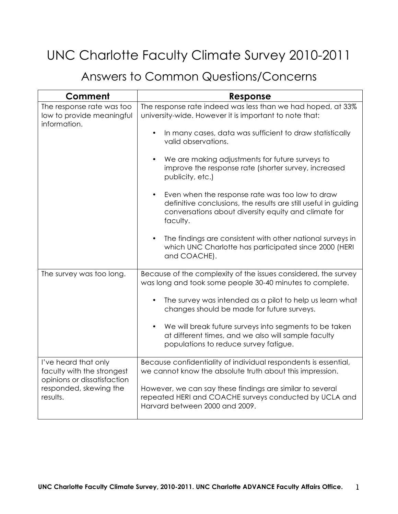## UNC Charlotte Faculty Climate Survey 2010-2011

## Answers to Common Questions/Concerns

| Comment                                                                                                                 | Response                                                                                                                                                                               |
|-------------------------------------------------------------------------------------------------------------------------|----------------------------------------------------------------------------------------------------------------------------------------------------------------------------------------|
| The response rate was too<br>low to provide meaningful<br>information.                                                  | The response rate indeed was less than we had hoped, at 33%<br>university-wide. However it is important to note that:                                                                  |
|                                                                                                                         | In many cases, data was sufficient to draw statistically<br>valid observations.                                                                                                        |
|                                                                                                                         | We are making adjustments for future surveys to<br>improve the response rate (shorter survey, increased<br>publicity, etc.)                                                            |
|                                                                                                                         | Even when the response rate was too low to draw<br>definitive conclusions, the results are still useful in guiding<br>conversations about diversity equity and climate for<br>faculty. |
|                                                                                                                         | The findings are consistent with other national surveys in<br>which UNC Charlotte has participated since 2000 (HERI<br>and COACHE).                                                    |
| The survey was too long.                                                                                                | Because of the complexity of the issues considered, the survey<br>was long and took some people 30-40 minutes to complete.                                                             |
|                                                                                                                         | The survey was intended as a pilot to help us learn what<br>changes should be made for future surveys.                                                                                 |
|                                                                                                                         | We will break future surveys into segments to be taken<br>at different times, and we also will sample faculty<br>populations to reduce survey fatigue.                                 |
| I've heard that only<br>faculty with the strongest<br>opinions or dissatisfaction<br>responded, skewing the<br>results. | Because confidentiality of individual respondents is essential,<br>we cannot know the absolute truth about this impression.                                                            |
|                                                                                                                         | However, we can say these findings are similar to several<br>repeated HERI and COACHE surveys conducted by UCLA and<br>Harvard between 2000 and 2009.                                  |